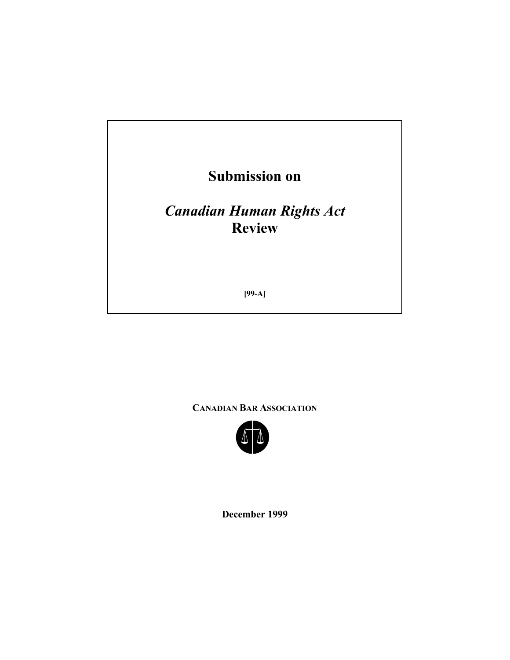

**CANADIAN BAR ASSOCIATION**



**December 1999**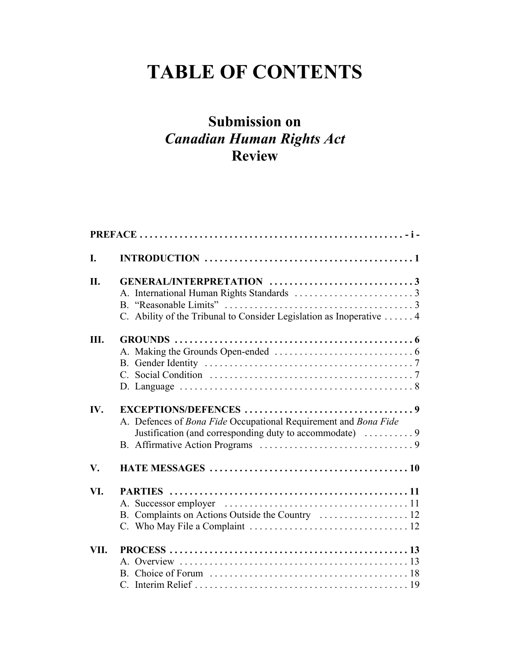# **TABLE OF CONTENTS**

## **Submission on** *Canadian Human Rights Act*  **Review**

| I.            |                                                                                                                             |  |
|---------------|-----------------------------------------------------------------------------------------------------------------------------|--|
| II.           | C. Ability of the Tribunal to Consider Legislation as Inoperative  4                                                        |  |
| Ш.            |                                                                                                                             |  |
| IV.           | A. Defences of Bona Fide Occupational Requirement and Bona Fide<br>Justification (and corresponding duty to accommodate)  9 |  |
| $V_{\bullet}$ |                                                                                                                             |  |
| VI.           | B. Complaints on Actions Outside the Country  12                                                                            |  |
| VII.          |                                                                                                                             |  |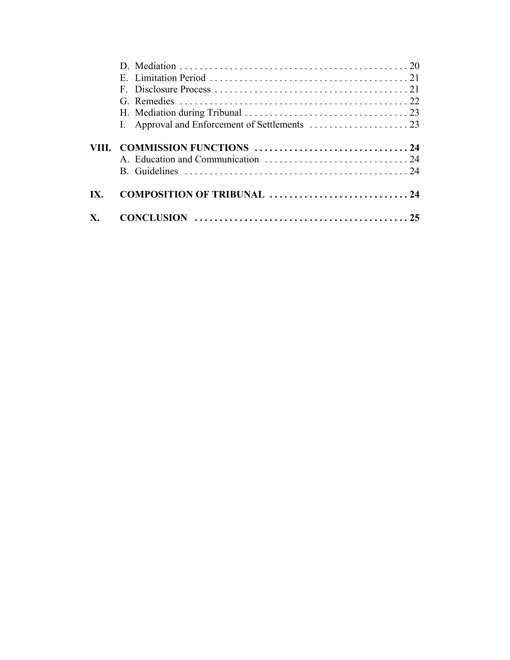| COMPOSITION OF TRIBUNAL 24 |  |
|----------------------------|--|
|                            |  |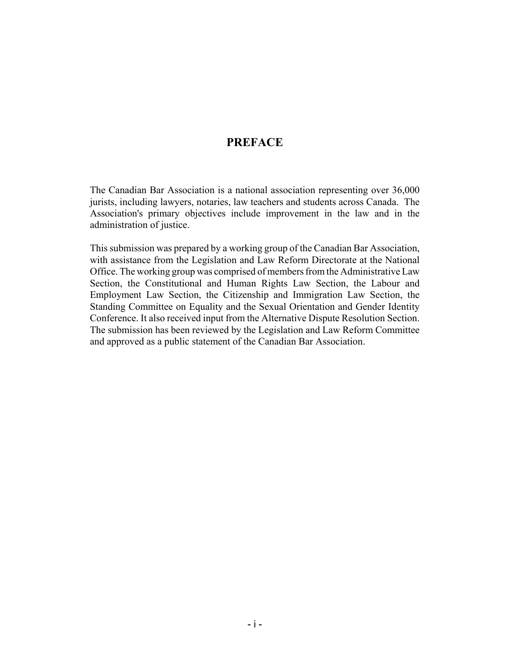#### **PREFACE**

The Canadian Bar Association is a national association representing over 36,000 jurists, including lawyers, notaries, law teachers and students across Canada. The Association's primary objectives include improvement in the law and in the administration of justice.

This submission was prepared by a working group of the Canadian Bar Association, with assistance from the Legislation and Law Reform Directorate at the National Office. The working group was comprised of members from the Administrative Law Section, the Constitutional and Human Rights Law Section, the Labour and Employment Law Section, the Citizenship and Immigration Law Section, the Standing Committee on Equality and the Sexual Orientation and Gender Identity Conference. It also received input from the Alternative Dispute Resolution Section. The submission has been reviewed by the Legislation and Law Reform Committee and approved as a public statement of the Canadian Bar Association.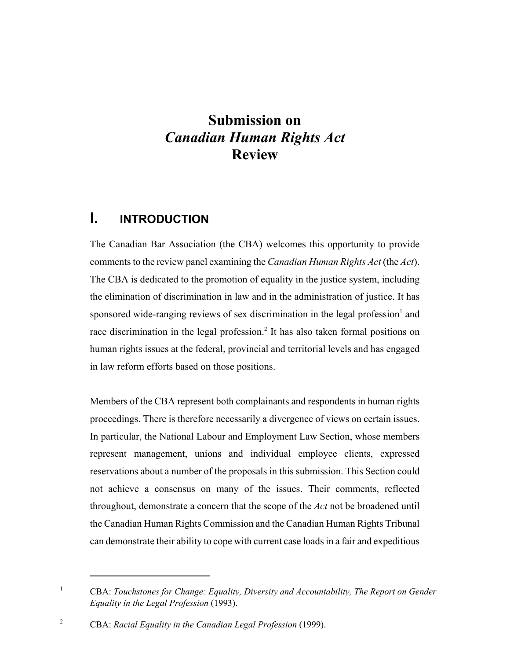## **Submission on** *Canadian Human Rights Act*  **Review**

## **I. INTRODUCTION**

The Canadian Bar Association (the CBA) welcomes this opportunity to provide comments to the review panel examining the *Canadian Human Rights Act* (the *Act*). The CBA is dedicated to the promotion of equality in the justice system, including the elimination of discrimination in law and in the administration of justice. It has sponsored wide-ranging reviews of sex discrimination in the legal profession<sup>1</sup> and race discrimination in the legal profession.<sup>2</sup> It has also taken formal positions on human rights issues at the federal, provincial and territorial levels and has engaged in law reform efforts based on those positions.

Members of the CBA represent both complainants and respondents in human rights proceedings. There is therefore necessarily a divergence of views on certain issues. In particular, the National Labour and Employment Law Section, whose members represent management, unions and individual employee clients, expressed reservations about a number of the proposals in this submission. This Section could not achieve a consensus on many of the issues. Their comments, reflected throughout, demonstrate a concern that the scope of the *Act* not be broadened until the Canadian Human Rights Commission and the Canadian Human Rights Tribunal can demonstrate their ability to cope with current case loads in a fair and expeditious

<sup>&</sup>lt;sup>1</sup> CBA: *Touchstones for Change: Equality, Diversity and Accountability, The Report on Gender Equality in the Legal Profession* (1993).

<sup>2</sup> CBA: *Racial Equality in the Canadian Legal Profession* (1999).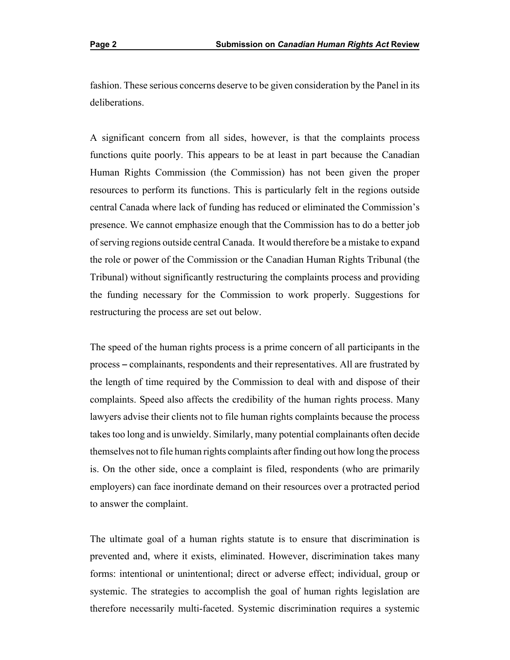fashion. These serious concerns deserve to be given consideration by the Panel in its deliberations.

A significant concern from all sides, however, is that the complaints process functions quite poorly. This appears to be at least in part because the Canadian Human Rights Commission (the Commission) has not been given the proper resources to perform its functions. This is particularly felt in the regions outside central Canada where lack of funding has reduced or eliminated the Commission's presence. We cannot emphasize enough that the Commission has to do a better job of serving regions outside central Canada. It would therefore be a mistake to expand the role or power of the Commission or the Canadian Human Rights Tribunal (the Tribunal) without significantly restructuring the complaints process and providing the funding necessary for the Commission to work properly. Suggestions for restructuring the process are set out below.

 The speed of the human rights process is a prime concern of all participants in the process – complainants, respondents and their representatives. All are frustrated by the length of time required by the Commission to deal with and dispose of their complaints. Speed also affects the credibility of the human rights process. Many lawyers advise their clients not to file human rights complaints because the process takes too long and is unwieldy. Similarly, many potential complainants often decide themselves not to file human rights complaints after finding out how long the process is. On the other side, once a complaint is filed, respondents (who are primarily employers) can face inordinate demand on their resources over a protracted period to answer the complaint.

 The ultimate goal of a human rights statute is to ensure that discrimination is systemic. The strategies to accomplish the goal of human rights legislation are prevented and, where it exists, eliminated. However, discrimination takes many forms: intentional or unintentional; direct or adverse effect; individual, group or therefore necessarily multi-faceted. Systemic discrimination requires a systemic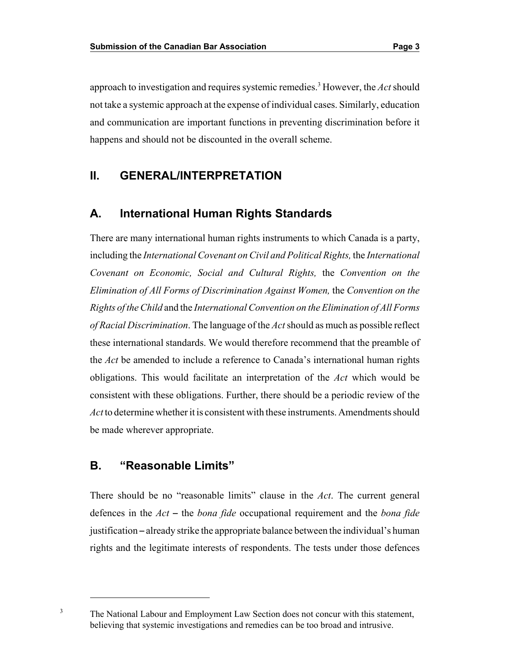approach to investigation and requires systemic remedies.3 However, the *Act* should not take a systemic approach at the expense of individual cases. Similarly, education and communication are important functions in preventing discrimination before it happens and should not be discounted in the overall scheme.

## **II. GENERAL/INTERPRETATION**

## **A. International Human Rights Standards**

There are many international human rights instruments to which Canada is a party, including the *International Covenant on Civil and Political Rights,* the *International Covenant on Economic, Social and Cultural Rights,* the *Convention on the Elimination of All Forms of Discrimination Against Women,* the *Convention on the Rights of the Child* and the *International Convention on the Elimination of All Forms of Racial Discrimination*. The language of the *Act* should as much as possible reflect these international standards. We would therefore recommend that the preamble of the *Act* be amended to include a reference to Canada's international human rights obligations. This would facilitate an interpretation of the *Act* which would be consistent with these obligations. Further, there should be a periodic review of the *Act* to determine whether it is consistent with these instruments. Amendments should be made wherever appropriate.

#### **B. "Reasonable Limits"**

3

There should be no "reasonable limits" clause in the *Act*. The current general defences in the *Act* – the *bona fide* occupational requirement and the *bona fide* justification – already strike the appropriate balance between the individual's human rights and the legitimate interests of respondents. The tests under those defences

The National Labour and Employment Law Section does not concur with this statement, believing that systemic investigations and remedies can be too broad and intrusive.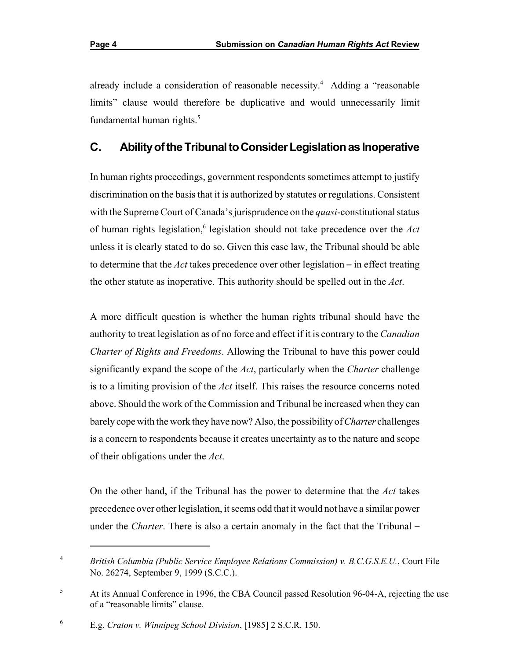already include a consideration of reasonable necessity.<sup>4</sup> Adding a "reasonable limits" clause would therefore be duplicative and would unnecessarily limit fundamental human rights.<sup>5</sup>

## **C. Abilityof the Tribunal to Consider Legislation as Inoperative**

In human rights proceedings, government respondents sometimes attempt to justify discrimination on the basis that it is authorized by statutes or regulations. Consistent with the Supreme Court of Canada's jurisprudence on the *quasi*-constitutional status of human rights legislation,<sup>6</sup> legislation should not take precedence over the *Act* unless it is clearly stated to do so. Given this case law, the Tribunal should be able to determine that the  $Act$  takes precedence over other legislation  $-$  in effect treating the other statute as inoperative. This authority should be spelled out in the *Act*.

A more difficult question is whether the human rights tribunal should have the authority to treat legislation as of no force and effect if it is contrary to the *Canadian Charter of Rights and Freedoms*. Allowing the Tribunal to have this power could significantly expand the scope of the *Act*, particularly when the *Charter* challenge is to a limiting provision of the *Act* itself. This raises the resource concerns noted above. Should the work of the Commission and Tribunal be increased when they can barely cope with the work they have now? Also, the possibility of *Charter* challenges is a concern to respondents because it creates uncertainty as to the nature and scope of their obligations under the *Act*.

On the other hand, if the Tribunal has the power to determine that the *Act* takes precedence over other legislation, it seems odd that it would not have a similar power under the *Charter*. There is also a certain anomaly in the fact that the Tribunal –

<sup>4</sup> *British Columbia (Public Service Employee Relations Commission) v. B.C.G.S.E.U.*, Court File No. 26274, September 9, 1999 (S.C.C.).

<sup>&</sup>lt;sup>5</sup> At its Annual Conference in 1996, the CBA Council passed Resolution 96-04-A, rejecting the use of a "reasonable limits" clause.

<sup>6</sup> E.g. *Craton v. Winnipeg School Division*, [1985] 2 S.C.R. 150.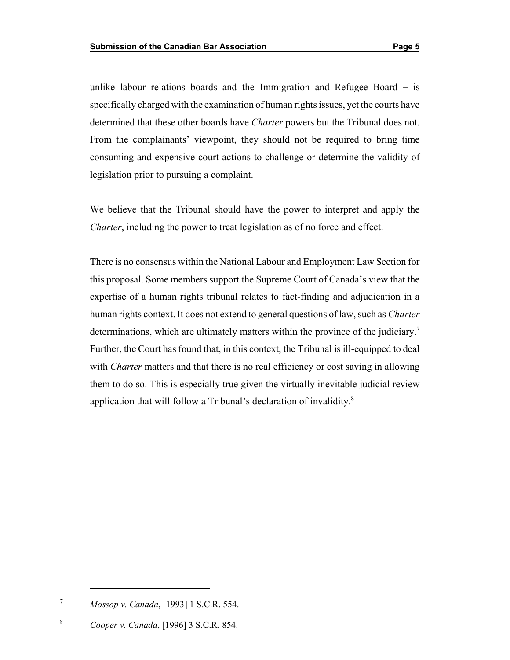unlike labour relations boards and the Immigration and Refugee Board  $-$  is specifically charged with the examination of human rights issues, yet the courts have determined that these other boards have *Charter* powers but the Tribunal does not. From the complainants' viewpoint, they should not be required to bring time consuming and expensive court actions to challenge or determine the validity of legislation prior to pursuing a complaint.

We believe that the Tribunal should have the power to interpret and apply the *Charter*, including the power to treat legislation as of no force and effect.

There is no consensus within the National Labour and Employment Law Section for this proposal. Some members support the Supreme Court of Canada's view that the expertise of a human rights tribunal relates to fact-finding and adjudication in a human rights context. It does not extend to general questions of law, such as *Charter*  determinations, which are ultimately matters within the province of the judiciary.<sup>7</sup> Further, the Court has found that, in this context, the Tribunal is ill-equipped to deal with *Charter* matters and that there is no real efficiency or cost saving in allowing them to do so. This is especially true given the virtually inevitable judicial review application that will follow a Tribunal's declaration of invalidity.<sup>8</sup>

<sup>7</sup> *Mossop v. Canada*, [1993] 1 S.C.R. 554.

<sup>8</sup> *Cooper v. Canada*, [1996] 3 S.C.R. 854.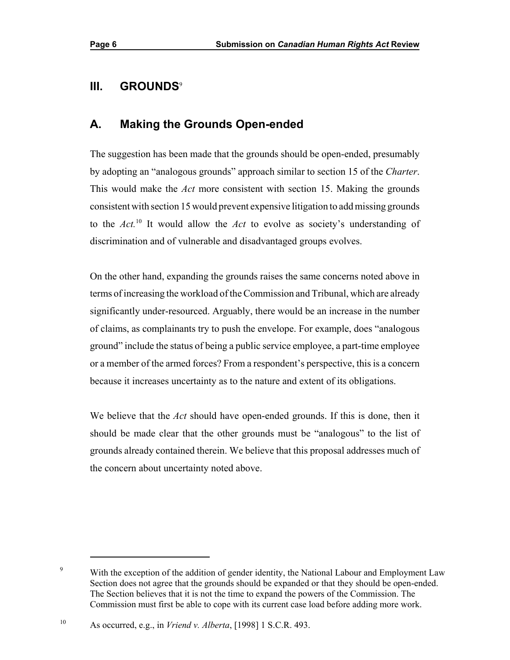## **III. GROUNDS**<sup>9</sup>

## **A. Making the Grounds Open-ended**

The suggestion has been made that the grounds should be open-ended, presumably by adopting an "analogous grounds" approach similar to section 15 of the *Charter*. This would make the *Act* more consistent with section 15. Making the grounds consistent with section 15 would prevent expensive litigation to add missing grounds to the *Act.*<sup>10</sup> It would allow the *Act* to evolve as society's understanding of discrimination and of vulnerable and disadvantaged groups evolves.

 or a member of the armed forces? From a respondent's perspective, this is a concern On the other hand, expanding the grounds raises the same concerns noted above in terms of increasing the workload of the Commission and Tribunal, which are already significantly under-resourced. Arguably, there would be an increase in the number of claims, as complainants try to push the envelope. For example, does "analogous ground" include the status of being a public service employee, a part-time employee because it increases uncertainty as to the nature and extent of its obligations.

We believe that the *Act* should have open-ended grounds. If this is done, then it should be made clear that the other grounds must be "analogous" to the list of grounds already contained therein. We believe that this proposal addresses much of the concern about uncertainty noted above.

<sup>&</sup>lt;sup>9</sup> With the exception of the addition of gender identity, the National Labour and Employment Law Section does not agree that the grounds should be expanded or that they should be open-ended. The Section believes that it is not the time to expand the powers of the Commission. The Commission must first be able to cope with its current case load before adding more work.

<sup>10</sup> As occurred, e.g., in *Vriend v. Alberta*, [1998] 1 S.C.R. 493.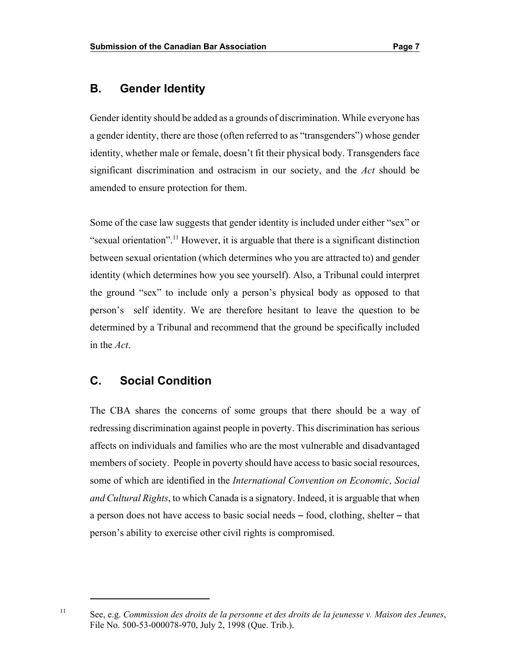### **B. Gender Identity**

Gender identity should be added as a grounds of discrimination. While everyone has a gender identity, there are those (often referred to as "transgenders") whose gender identity, whether male or female, doesn't fit their physical body. Transgenders face significant discrimination and ostracism in our society, and the *Act* should be amended to ensure protection for them.

Some of the case law suggests that gender identity is included under either "sex" or "sexual orientation".<sup>11</sup> However, it is arguable that there is a significant distinction between sexual orientation (which determines who you are attracted to) and gender identity (which determines how you see yourself). Also, a Tribunal could interpret the ground "sex" to include only a person's physical body as opposed to that person's self identity. We are therefore hesitant to leave the question to be determined by a Tribunal and recommend that the ground be specifically included in the *Act*.

#### **C. Social Condition**

 some of which are identified in the *International Convention on Economic, Social*  person's ability to exercise other civil rights is compromised. The CBA shares the concerns of some groups that there should be a way of redressing discrimination against people in poverty. This discrimination has serious affects on individuals and families who are the most vulnerable and disadvantaged members of society. People in poverty should have access to basic social resources, *and Cultural Rights*, to which Canada is a signatory. Indeed, it is arguable that when a person does not have access to basic social needs – food, clothing, shelter – that

See, e.g. *Commission des droits de la personne et des droits de la jeunesse v. Maison des Jeunes*, File No. 500-53-000078-970, July 2, 1998 (Que. Trib.).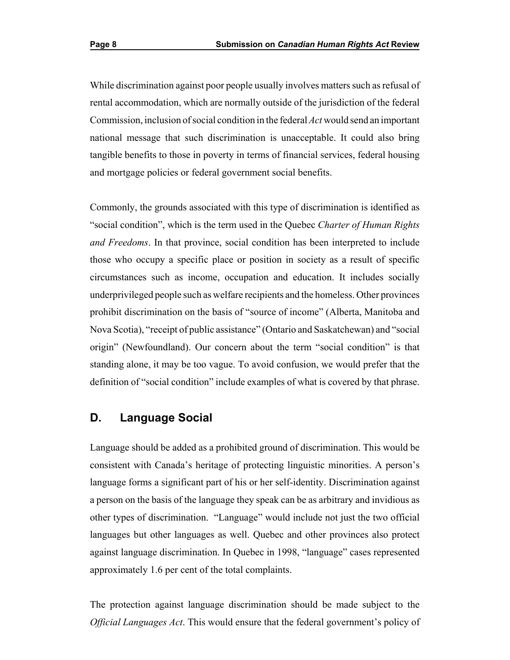While discrimination against poor people usually involves matters such as refusal of rental accommodation, which are normally outside of the jurisdiction of the federal Commission, inclusion of social condition in the federal *Act* would send an important national message that such discrimination is unacceptable. It could also bring tangible benefits to those in poverty in terms of financial services, federal housing and mortgage policies or federal government social benefits.

Commonly, the grounds associated with this type of discrimination is identified as "social condition", which is the term used in the Quebec *Charter of Human Rights and Freedoms*. In that province, social condition has been interpreted to include those who occupy a specific place or position in society as a result of specific circumstances such as income, occupation and education. It includes socially underprivileged people such as welfare recipients and the homeless. Other provinces prohibit discrimination on the basis of "source of income" (Alberta, Manitoba and Nova Scotia), "receipt of public assistance" (Ontario and Saskatchewan) and "social origin" (Newfoundland). Our concern about the term "social condition" is that standing alone, it may be too vague. To avoid confusion, we would prefer that the definition of "social condition" include examples of what is covered by that phrase.

#### **D. Language Social**

Language should be added as a prohibited ground of discrimination. This would be consistent with Canada's heritage of protecting linguistic minorities. A person's language forms a significant part of his or her self-identity. Discrimination against a person on the basis of the language they speak can be as arbitrary and invidious as other types of discrimination. "Language" would include not just the two official languages but other languages as well. Quebec and other provinces also protect against language discrimination. In Quebec in 1998, "language" cases represented approximately 1.6 per cent of the total complaints.

The protection against language discrimination should be made subject to the *Official Languages Act*. This would ensure that the federal government's policy of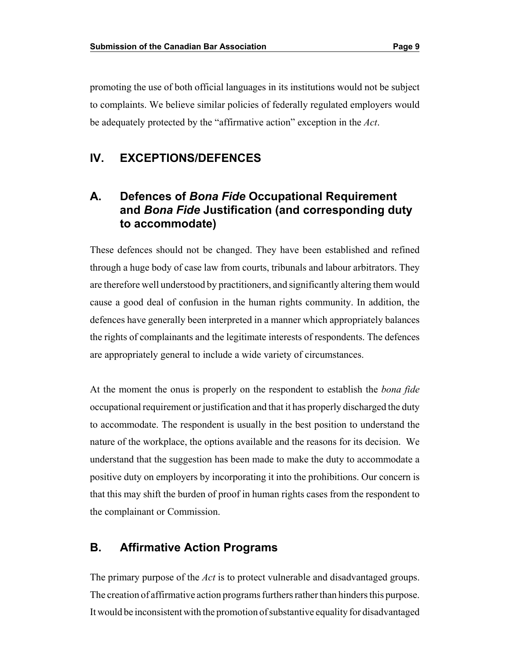promoting the use of both official languages in its institutions would not be subject to complaints. We believe similar policies of federally regulated employers would be adequately protected by the "affirmative action" exception in the *Act*.

#### **IV. EXCEPTIONS/DEFENCES**

## **A. Defences of** *Bona Fide* **Occupational Requirement and** *Bona Fide* **Justification (and corresponding duty to accommodate)**

 These defences should not be changed. They have been established and refined through a huge body of case law from courts, tribunals and labour arbitrators. They are therefore well understood by practitioners, and significantly altering them would cause a good deal of confusion in the human rights community. In addition, the defences have generally been interpreted in a manner which appropriately balances the rights of complainants and the legitimate interests of respondents. The defences are appropriately general to include a wide variety of circumstances.

At the moment the onus is properly on the respondent to establish the *bona fide*  occupational requirement or justification and that it has properly discharged the duty to accommodate. The respondent is usually in the best position to understand the nature of the workplace, the options available and the reasons for its decision. We understand that the suggestion has been made to make the duty to accommodate a positive duty on employers by incorporating it into the prohibitions. Our concern is that this may shift the burden of proof in human rights cases from the respondent to the complainant or Commission.

#### **B. Affirmative Action Programs**

The primary purpose of the *Act* is to protect vulnerable and disadvantaged groups. The creation of affirmative action programs furthers rather than hinders this purpose. It would be inconsistent with the promotion of substantive equality for disadvantaged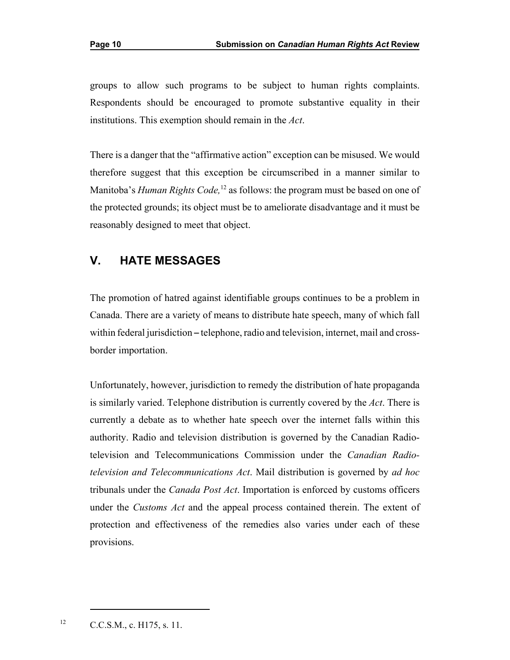groups to allow such programs to be subject to human rights complaints. Respondents should be encouraged to promote substantive equality in their institutions. This exemption should remain in the *Act*.

There is a danger that the "affirmative action" exception can be misused. We would therefore suggest that this exception be circumscribed in a manner similar to Manitoba's *Human Rights Code*,<sup>12</sup> as follows: the program must be based on one of the protected grounds; its object must be to ameliorate disadvantage and it must be reasonably designed to meet that object.

## **V. HATE MESSAGES**

The promotion of hatred against identifiable groups continues to be a problem in Canada. There are a variety of means to distribute hate speech, many of which fall within federal jurisdiction – telephone, radio and television, internet, mail and crossborder importation.

Unfortunately, however, jurisdiction to remedy the distribution of hate propaganda is similarly varied. Telephone distribution is currently covered by the *Act*. There is currently a debate as to whether hate speech over the internet falls within this authority. Radio and television distribution is governed by the Canadian Radiotelevision and Telecommunications Commission under the *Canadian Radiotelevision and Telecommunications Act*. Mail distribution is governed by *ad hoc*  tribunals under the *Canada Post Act*. Importation is enforced by customs officers under the *Customs Act* and the appeal process contained therein. The extent of protection and effectiveness of the remedies also varies under each of these provisions.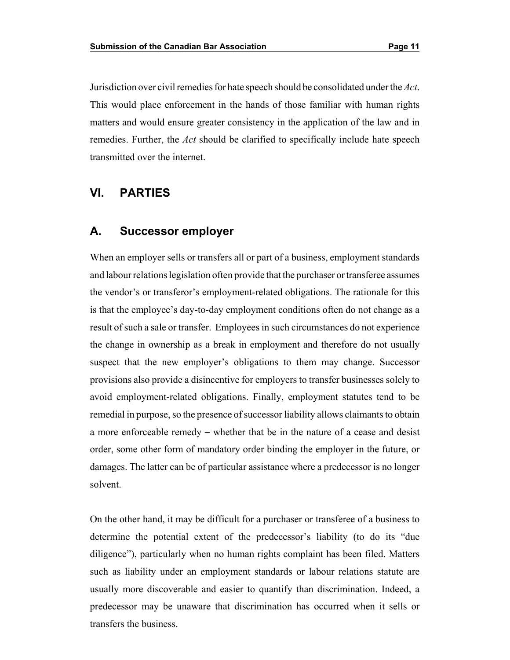matters and would ensure greater consistency in the application of the law and in remedies. Further, the *Act* should be clarified to specifically include hate speech Jurisdiction over civil remedies for hate speech should be consolidated under the *Act*. This would place enforcement in the hands of those familiar with human rights transmitted over the internet.

## **VI. PARTIES**

#### **A. Successor employer**

When an employer sells or transfers all or part of a business, employment standards and labour relations legislation often provide that the purchaser or transferee assumes the vendor's or transferor's employment-related obligations. The rationale for this is that the employee's day-to-day employment conditions often do not change as a result of such a sale or transfer. Employees in such circumstances do not experience the change in ownership as a break in employment and therefore do not usually suspect that the new employer's obligations to them may change. Successor provisions also provide a disincentive for employers to transfer businesses solely to avoid employment-related obligations. Finally, employment statutes tend to be remedial in purpose, so the presence of successor liability allows claimants to obtain a more enforceable remedy – whether that be in the nature of a cease and desist order, some other form of mandatory order binding the employer in the future, or damages. The latter can be of particular assistance where a predecessor is no longer solvent.

On the other hand, it may be difficult for a purchaser or transferee of a business to determine the potential extent of the predecessor's liability (to do its "due diligence"), particularly when no human rights complaint has been filed. Matters such as liability under an employment standards or labour relations statute are usually more discoverable and easier to quantify than discrimination. Indeed, a predecessor may be unaware that discrimination has occurred when it sells or transfers the business.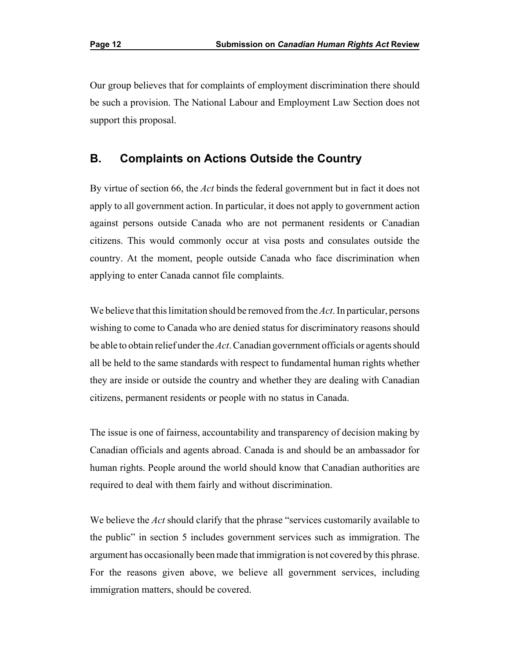Our group believes that for complaints of employment discrimination there should be such a provision. The National Labour and Employment Law Section does not support this proposal.

#### **B. Complaints on Actions Outside the Country**

By virtue of section 66, the *Act* binds the federal government but in fact it does not apply to all government action. In particular, it does not apply to government action against persons outside Canada who are not permanent residents or Canadian citizens. This would commonly occur at visa posts and consulates outside the country. At the moment, people outside Canada who face discrimination when applying to enter Canada cannot file complaints.

We believe that this limitation should be removed fromthe *Act*. In particular, persons wishing to come to Canada who are denied status for discriminatory reasons should be able to obtain relief under the *Act*. Canadian government officials or agents should all be held to the same standards with respect to fundamental human rights whether they are inside or outside the country and whether they are dealing with Canadian citizens, permanent residents or people with no status in Canada.

The issue is one of fairness, accountability and transparency of decision making by Canadian officials and agents abroad. Canada is and should be an ambassador for human rights. People around the world should know that Canadian authorities are required to deal with them fairly and without discrimination.

We believe the *Act* should clarify that the phrase "services customarily available to the public" in section 5 includes government services such as immigration. The argument has occasionally been made that immigration is not covered by this phrase. For the reasons given above, we believe all government services, including immigration matters, should be covered.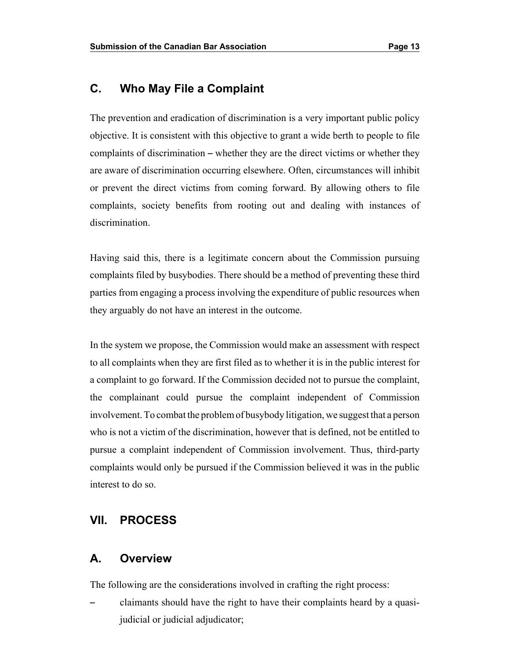## **C. Who May File a Complaint**

The prevention and eradication of discrimination is a very important public policy objective. It is consistent with this objective to grant a wide berth to people to file complaints of discrimination – whether they are the direct victims or whether they are aware of discrimination occurring elsewhere. Often, circumstances will inhibit or prevent the direct victims from coming forward. By allowing others to file complaints, society benefits from rooting out and dealing with instances of discrimination.

Having said this, there is a legitimate concern about the Commission pursuing complaints filed by busybodies. There should be a method of preventing these third parties from engaging a process involving the expenditure of public resources when they arguably do not have an interest in the outcome.

 involvement. To combat the problemof busybody litigation, we suggest that a person who is not a victim of the discrimination, however that is defined, not be entitled to In the system we propose, the Commission would make an assessment with respect to all complaints when they are first filed as to whether it is in the public interest for a complaint to go forward. If the Commission decided not to pursue the complaint, the complainant could pursue the complaint independent of Commission pursue a complaint independent of Commission involvement. Thus, third-party complaints would only be pursued if the Commission believed it was in the public interest to do so.

## **VII. PROCESS**

#### **A. Overview**

The following are the considerations involved in crafting the right process:

claimants should have the right to have their complaints heard by a quasijudicial or judicial adjudicator;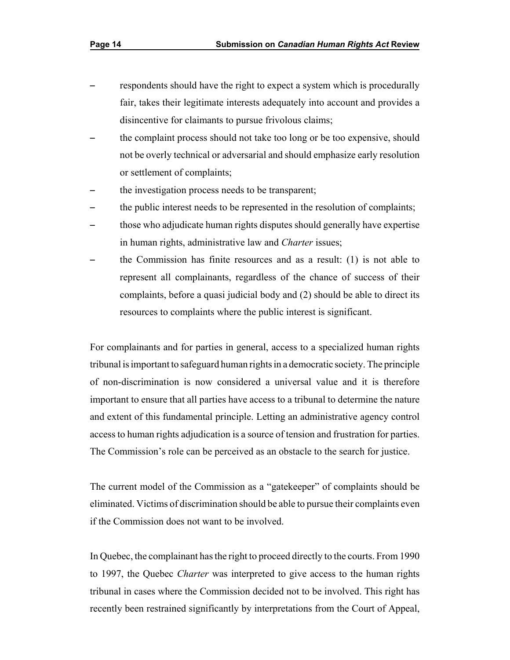- respondents should have the right to expect a system which is procedurally fair, takes their legitimate interests adequately into account and provides a disincentive for claimants to pursue frivolous claims;
- the complaint process should not take too long or be too expensive, should not be overly technical or adversarial and should emphasize early resolution or settlement of complaints;
- the investigation process needs to be transparent;
- the public interest needs to be represented in the resolution of complaints;
- those who adjudicate human rights disputes should generally have expertise in human rights, administrative law and *Charter* issues;
- the Commission has finite resources and as a result:  $(1)$  is not able to represent all complainants, regardless of the chance of success of their complaints, before a quasi judicial body and (2) should be able to direct its resources to complaints where the public interest is significant.

For complainants and for parties in general, access to a specialized human rights tribunal is important to safeguard human rights in a democratic society. The principle of non-discrimination is now considered a universal value and it is therefore important to ensure that all parties have access to a tribunal to determine the nature and extent of this fundamental principle. Letting an administrative agency control access to human rights adjudication is a source of tension and frustration for parties. The Commission's role can be perceived as an obstacle to the search for justice.

The current model of the Commission as a "gatekeeper" of complaints should be eliminated. Victims of discrimination should be able to pursue their complaints even if the Commission does not want to be involved.

In Quebec, the complainant has the right to proceed directly to the courts. From 1990 to 1997, the Quebec *Charter* was interpreted to give access to the human rights tribunal in cases where the Commission decided not to be involved. This right has recently been restrained significantly by interpretations from the Court of Appeal,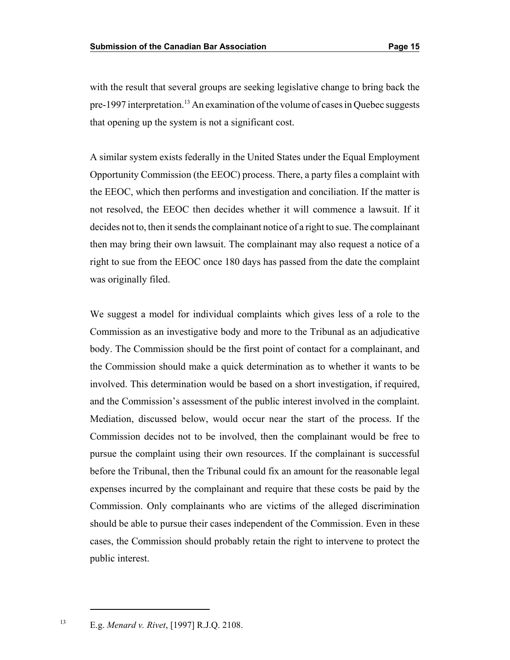with the result that several groups are seeking legislative change to bring back the pre-1997 interpretation.<sup>13</sup> An examination of the volume of cases in Quebec suggests that opening up the system is not a significant cost.

 Opportunity Commission (the EEOC) process. There, a party files a complaint with A similar system exists federally in the United States under the Equal Employment the EEOC, which then performs and investigation and conciliation. If the matter is not resolved, the EEOC then decides whether it will commence a lawsuit. If it decides not to, then it sends the complainant notice of a right to sue. The complainant then may bring their own lawsuit. The complainant may also request a notice of a right to sue from the EEOC once 180 days has passed from the date the complaint was originally filed.

 We suggest a model for individual complaints which gives less of a role to the Commission as an investigative body and more to the Tribunal as an adjudicative body. The Commission should be the first point of contact for a complainant, and the Commission should make a quick determination as to whether it wants to be involved. This determination would be based on a short investigation, if required, and the Commission's assessment of the public interest involved in the complaint. Mediation, discussed below, would occur near the start of the process. If the Commission decides not to be involved, then the complainant would be free to pursue the complaint using their own resources. If the complainant is successful before the Tribunal, then the Tribunal could fix an amount for the reasonable legal expenses incurred by the complainant and require that these costs be paid by the Commission. Only complainants who are victims of the alleged discrimination should be able to pursue their cases independent of the Commission. Even in these cases, the Commission should probably retain the right to intervene to protect the public interest.

<sup>&</sup>lt;sup>13</sup> E.g. *Menard v. Rivet*, [1997] R.J.Q. 2108.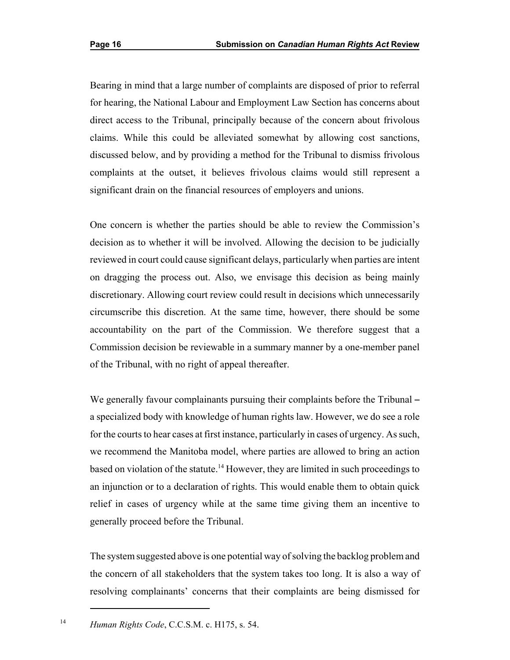Bearing in mind that a large number of complaints are disposed of prior to referral for hearing, the National Labour and Employment Law Section has concerns about direct access to the Tribunal, principally because of the concern about frivolous claims. While this could be alleviated somewhat by allowing cost sanctions, discussed below, and by providing a method for the Tribunal to dismiss frivolous complaints at the outset, it believes frivolous claims would still represent a significant drain on the financial resources of employers and unions.

One concern is whether the parties should be able to review the Commission's decision as to whether it will be involved. Allowing the decision to be judicially reviewed in court could cause significant delays, particularly when parties are intent on dragging the process out. Also, we envisage this decision as being mainly discretionary. Allowing court review could result in decisions which unnecessarily circumscribe this discretion. At the same time, however, there should be some accountability on the part of the Commission. We therefore suggest that a Commission decision be reviewable in a summary manner by a one-member panel of the Tribunal, with no right of appeal thereafter.

 relief in cases of urgency while at the same time giving them an incentive to We generally favour complainants pursuing their complaints before the Tribunal  $$ a specialized body with knowledge of human rights law. However, we do see a role for the courts to hear cases at first instance, particularly in cases of urgency. As such, we recommend the Manitoba model, where parties are allowed to bring an action based on violation of the statute.<sup>14</sup> However, they are limited in such proceedings to an injunction or to a declaration of rights. This would enable them to obtain quick generally proceed before the Tribunal.

The system suggested above is one potential way of solving the backlog problem and the concern of all stakeholders that the system takes too long. It is also a way of resolving complainants' concerns that their complaints are being dismissed for

<sup>&</sup>lt;sup>14</sup> *Human Rights Code*, C.C.S.M. c. H175, s. 54.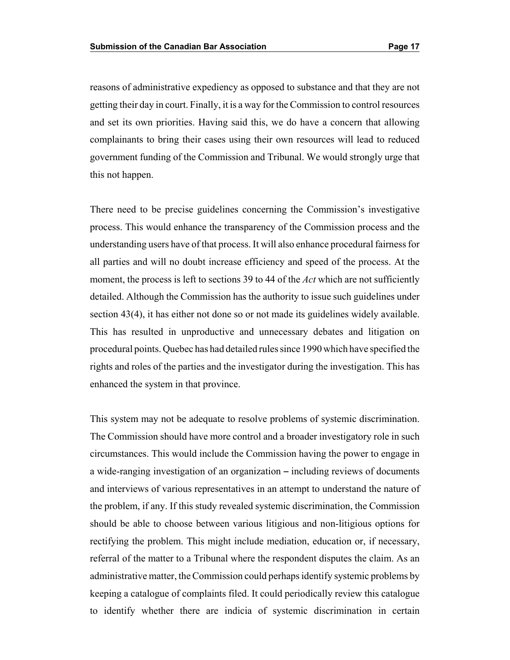reasons of administrative expediency as opposed to substance and that they are not getting their day in court. Finally, it is a way for the Commission to control resources and set its own priorities. Having said this, we do have a concern that allowing complainants to bring their cases using their own resources will lead to reduced government funding of the Commission and Tribunal. We would strongly urge that this not happen.

There need to be precise guidelines concerning the Commission's investigative process. This would enhance the transparency of the Commission process and the understanding users have of that process. It will also enhance procedural fairness for all parties and will no doubt increase efficiency and speed of the process. At the moment, the process is left to sections 39 to 44 of the *Act* which are not sufficiently detailed. Although the Commission has the authority to issue such guidelines under section 43(4), it has either not done so or not made its guidelines widely available. This has resulted in unproductive and unnecessary debates and litigation on procedural points. Quebec has had detailed rules since 1990 which have specified the rights and roles of the parties and the investigator during the investigation. This has enhanced the system in that province.

This system may not be adequate to resolve problems of systemic discrimination. The Commission should have more control and a broader investigatory role in such circumstances. This would include the Commission having the power to engage in a wide-ranging investigation of an organization – including reviews of documents and interviews of various representatives in an attempt to understand the nature of the problem, if any. If this study revealed systemic discrimination, the Commission should be able to choose between various litigious and non-litigious options for rectifying the problem. This might include mediation, education or, if necessary, referral of the matter to a Tribunal where the respondent disputes the claim. As an administrative matter, the Commission could perhaps identify systemic problems by keeping a catalogue of complaints filed. It could periodically review this catalogue to identify whether there are indicia of systemic discrimination in certain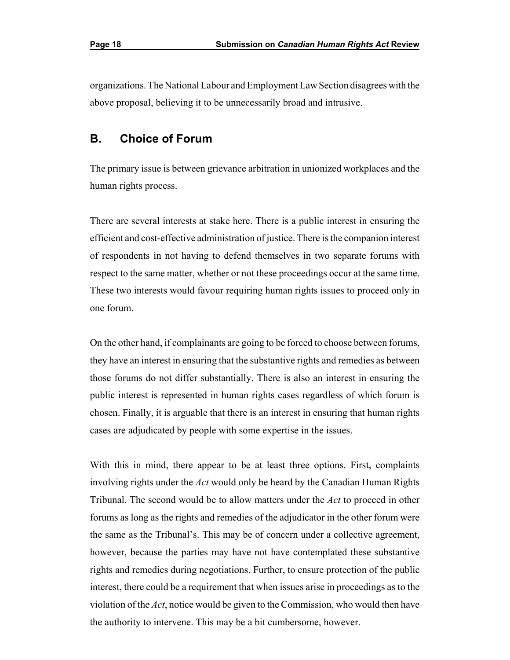organizations. The National Labour and Employment LawSection disagrees with the above proposal, believing it to be unnecessarily broad and intrusive.

## **B. Choice of Forum**

The primary issue is between grievance arbitration in unionized workplaces and the human rights process.

There are several interests at stake here. There is a public interest in ensuring the efficient and cost-effective administration of justice. There is the companion interest of respondents in not having to defend themselves in two separate forums with respect to the same matter, whether or not these proceedings occur at the same time. These two interests would favour requiring human rights issues to proceed only in one forum.

 those forums do not differ substantially. There is also an interest in ensuring the On the other hand, if complainants are going to be forced to choose between forums, they have an interest in ensuring that the substantive rights and remedies as between public interest is represented in human rights cases regardless of which forum is chosen. Finally, it is arguable that there is an interest in ensuring that human rights cases are adjudicated by people with some expertise in the issues.

 the same as the Tribunal's. This may be of concern under a collective agreement, With this in mind, there appear to be at least three options. First, complaints involving rights under the *Act* would only be heard by the Canadian Human Rights Tribunal. The second would be to allow matters under the *Act* to proceed in other forums as long as the rights and remedies of the adjudicator in the other forum were however, because the parties may have not have contemplated these substantive rights and remedies during negotiations. Further, to ensure protection of the public interest, there could be a requirement that when issues arise in proceedings as to the violation of the *Act*, notice would be given to the Commission, who would then have the authority to intervene. This may be a bit cumbersome, however.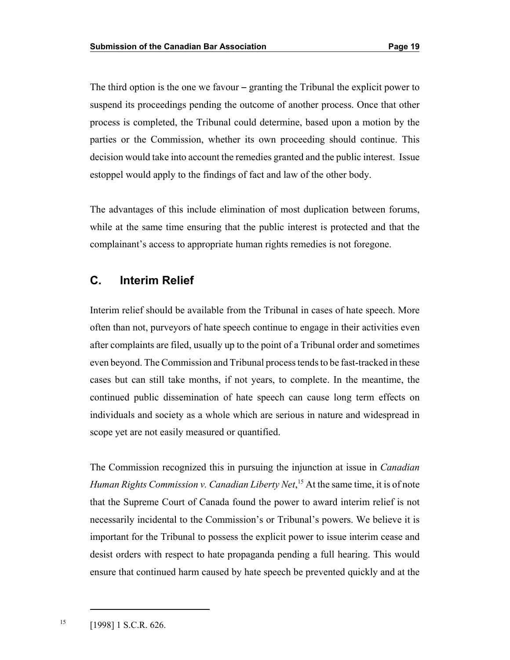parties or the Commission, whether its own proceeding should continue. This The third option is the one we favour  $-\frac{1}{2}$  granting the Tribunal the explicit power to suspend its proceedings pending the outcome of another process. Once that other process is completed, the Tribunal could determine, based upon a motion by the decision would take into account the remedies granted and the public interest. Issue estoppel would apply to the findings of fact and law of the other body.

The advantages of this include elimination of most duplication between forums, while at the same time ensuring that the public interest is protected and that the complainant's access to appropriate human rights remedies is not foregone.

## **C. Interim Relief**

Interim relief should be available from the Tribunal in cases of hate speech. More often than not, purveyors of hate speech continue to engage in their activities even after complaints are filed, usually up to the point of a Tribunal order and sometimes even beyond. The Commission and Tribunal process tends to be fast-tracked in these cases but can still take months, if not years, to complete. In the meantime, the continued public dissemination of hate speech can cause long term effects on individuals and society as a whole which are serious in nature and widespread in scope yet are not easily measured or quantified.

 *Human Rights Commission v. Canadian Liberty Net*, <sup>15</sup> At the same time, it is of note that the Supreme Court of Canada found the power to award interim relief is not The Commission recognized this in pursuing the injunction at issue in *Canadian*  necessarily incidental to the Commission's or Tribunal's powers. We believe it is important for the Tribunal to possess the explicit power to issue interim cease and desist orders with respect to hate propaganda pending a full hearing. This would ensure that continued harm caused by hate speech be prevented quickly and at the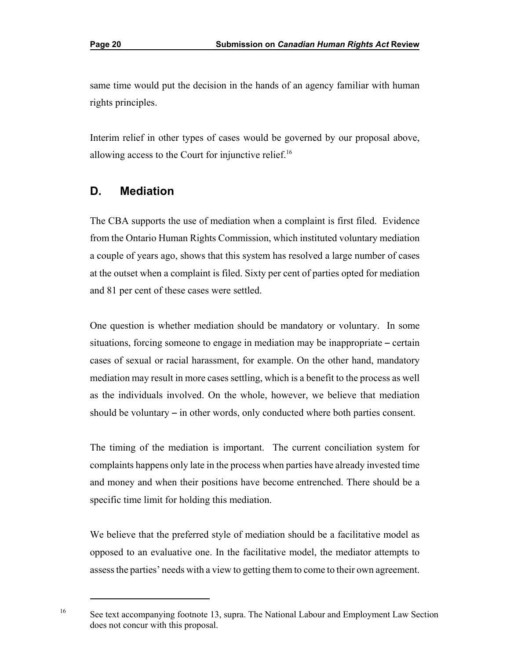same time would put the decision in the hands of an agency familiar with human rights principles.

Interim relief in other types of cases would be governed by our proposal above, allowing access to the Court for injunctive relief.<sup>16</sup>

## **D. Mediation**

 The CBA supports the use of mediation when a complaint is first filed. Evidence from the Ontario Human Rights Commission, which instituted voluntary mediation a couple of years ago, shows that this system has resolved a large number of cases at the outset when a complaint is filed. Sixty per cent of parties opted for mediation and 81 per cent of these cases were settled.

 mediation may result in more cases settling, which is a benefit to the process as well One question is whether mediation should be mandatory or voluntary. In some situations, forcing someone to engage in mediation may be inappropriate  $-$  certain cases of sexual or racial harassment, for example. On the other hand, mandatory as the individuals involved. On the whole, however, we believe that mediation should be voluntary  $-$  in other words, only conducted where both parties consent.

 The timing of the mediation is important. The current conciliation system for complaints happens only late in the process when parties have already invested time and money and when their positions have become entrenched. There should be a specific time limit for holding this mediation.

 assess the parties' needs with a view to getting them to come to their own agreement. We believe that the preferred style of mediation should be a facilitative model as opposed to an evaluative one. In the facilitative model, the mediator attempts to

See text accompanying footnote 13, supra. The National Labour and Employment Law Section does not concur with this proposal.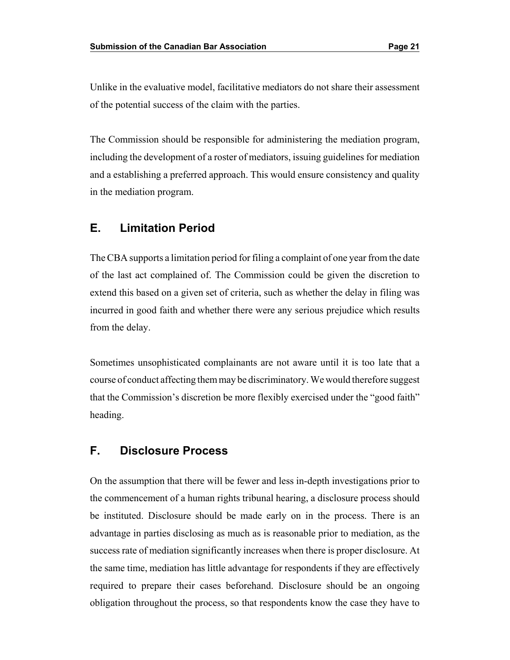Unlike in the evaluative model, facilitative mediators do not share their assessment of the potential success of the claim with the parties.

The Commission should be responsible for administering the mediation program, including the development of a roster of mediators, issuing guidelines for mediation and a establishing a preferred approach. This would ensure consistency and quality in the mediation program.

#### **E. Limitation Period**

The CBA supports a limitation period for filing a complaint of one year from the date of the last act complained of. The Commission could be given the discretion to extend this based on a given set of criteria, such as whether the delay in filing was incurred in good faith and whether there were any serious prejudice which results from the delay.

Sometimes unsophisticated complainants are not aware until it is too late that a course of conduct affecting themmay be discriminatory. We would therefore suggest that the Commission's discretion be more flexibly exercised under the "good faith" heading.

## **F. Disclosure Process**

On the assumption that there will be fewer and less in-depth investigations prior to the commencement of a human rights tribunal hearing, a disclosure process should be instituted. Disclosure should be made early on in the process. There is an advantage in parties disclosing as much as is reasonable prior to mediation, as the success rate of mediation significantly increases when there is proper disclosure. At the same time, mediation has little advantage for respondents if they are effectively required to prepare their cases beforehand. Disclosure should be an ongoing obligation throughout the process, so that respondents know the case they have to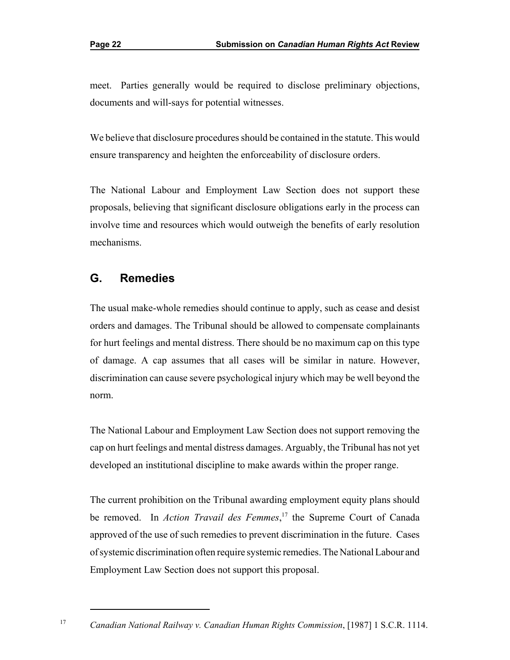meet. Parties generally would be required to disclose preliminary objections, documents and will-says for potential witnesses.

We believe that disclosure procedures should be contained in the statute. This would ensure transparency and heighten the enforceability of disclosure orders.

The National Labour and Employment Law Section does not support these proposals, believing that significant disclosure obligations early in the process can involve time and resources which would outweigh the benefits of early resolution mechanisms.

## **G. Remedies**

The usual make-whole remedies should continue to apply, such as cease and desist orders and damages. The Tribunal should be allowed to compensate complainants for hurt feelings and mental distress. There should be no maximum cap on this type of damage. A cap assumes that all cases will be similar in nature. However, discrimination can cause severe psychological injury which may be well beyond the norm.

The National Labour and Employment Law Section does not support removing the cap on hurt feelings and mental distress damages. Arguably, the Tribunal has not yet developed an institutional discipline to make awards within the proper range.

The current prohibition on the Tribunal awarding employment equity plans should be removed. In *Action Travail des Femmes*, <sup>17</sup> the Supreme Court of Canada approved of the use of such remedies to prevent discrimination in the future. Cases ofsystemic discrimination often require systemic remedies. The National Labour and Employment Law Section does not support this proposal.

<sup>&</sup>lt;sup>17</sup> Canadian National Railway v. Canadian Human Rights Commission, [1987] 1 S.C.R. 1114.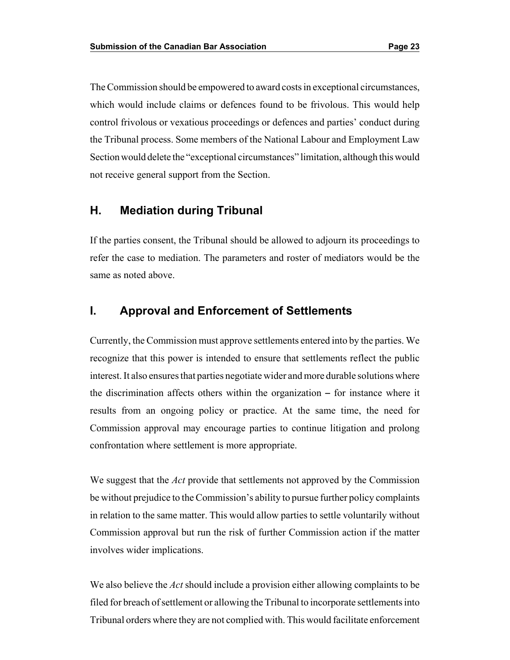The Commission should be empowered to award costs in exceptional circumstances, which would include claims or defences found to be frivolous. This would help control frivolous or vexatious proceedings or defences and parties' conduct during the Tribunal process. Some members of the National Labour and Employment Law Section would delete the "exceptional circumstances" limitation, although this would not receive general support from the Section.

#### **H. Mediation during Tribunal**

If the parties consent, the Tribunal should be allowed to adjourn its proceedings to refer the case to mediation. The parameters and roster of mediators would be the same as noted above.

#### **I. Approval and Enforcement of Settlements**

 recognize that this power is intended to ensure that settlements reflect the public Currently, the Commission must approve settlements entered into by the parties. We interest. It also ensures that parties negotiate wider and more durable solutions where the discrimination affects others within the organization  $-$  for instance where it results from an ongoing policy or practice. At the same time, the need for Commission approval may encourage parties to continue litigation and prolong confrontation where settlement is more appropriate.

We suggest that the *Act* provide that settlements not approved by the Commission be without prejudice to the Commission's ability to pursue further policy complaints in relation to the same matter. This would allow parties to settle voluntarily without Commission approval but run the risk of further Commission action if the matter involves wider implications.

We also believe the *Act* should include a provision either allowing complaints to be filed for breach of settlement or allowing the Tribunal to incorporate settlements into Tribunal orders where they are not complied with. This would facilitate enforcement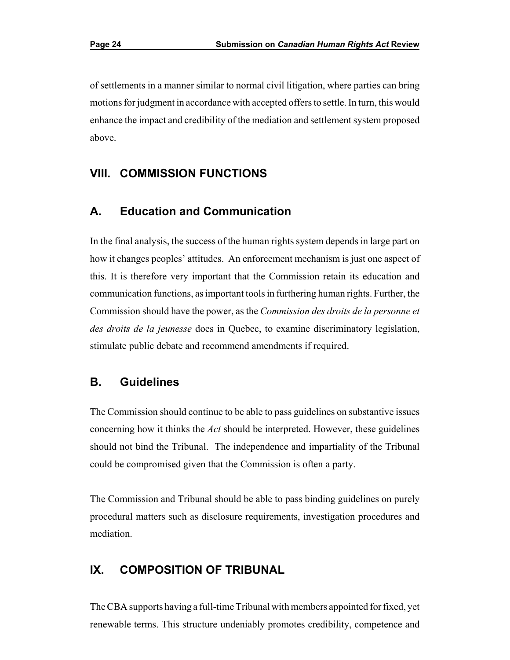of settlements in a manner similar to normal civil litigation, where parties can bring motions for judgment in accordance with accepted offers to settle. In turn, this would enhance the impact and credibility of the mediation and settlement system proposed above.

#### **VIII. COMMISSION FUNCTIONS**

#### **A. Education and Communication**

In the final analysis, the success of the human rights system depends in large part on how it changes peoples' attitudes. An enforcement mechanism is just one aspect of this. It is therefore very important that the Commission retain its education and communication functions, as important tools in furthering human rights. Further, the Commission should have the power, as the *Commission des droits de la personne et des droits de la jeunesse* does in Quebec, to examine discriminatory legislation, stimulate public debate and recommend amendments if required.

#### **B. Guidelines**

The Commission should continue to be able to pass guidelines on substantive issues concerning how it thinks the *Act* should be interpreted. However, these guidelines should not bind the Tribunal. The independence and impartiality of the Tribunal could be compromised given that the Commission is often a party.

The Commission and Tribunal should be able to pass binding guidelines on purely procedural matters such as disclosure requirements, investigation procedures and mediation.

#### **IX. COMPOSITION OF TRIBUNAL**

The CBA supports having a full-time Tribunal with members appointed for fixed, yet renewable terms. This structure undeniably promotes credibility, competence and